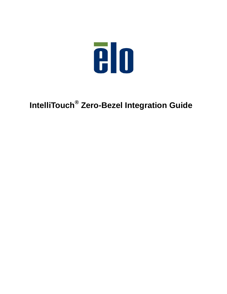

# **IntelliTouch® Zero-Bezel Integration Guide**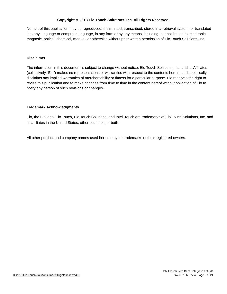#### **Copyright © 2013 Elo Touch Solutions, Inc. All Rights Reserved.**

No part of this publication may be reproduced, transmitted, transcribed, stored in a retrieval system, or translated into any language or computer language, in any form or by any means, including, but not limited to, electronic, magnetic, optical, chemical, manual, or otherwise without prior written permission of Elo Touch Solutions, Inc.

#### **Disclaimer**

The information in this document is subject to change without notice. Elo Touch Solutions, Inc. and its Affiliates (collectively "Elo") makes no representations or warranties with respect to the contents herein, and specifically disclaims any implied warranties of merchantability or fitness for a particular purpose. Elo reserves the right to revise this publication and to make changes from time to time in the content hereof without obligation of Elo to notify any person of such revisions or changes.

#### **Trademark Acknowledgments**

Elo, the Elo logo, Elo Touch, Elo Touch Solutions, and IntelliTouch are trademarks of Elo Touch Solutions, Inc. and its affiliates in the United States, other countries, or both.

All other product and company names used herein may be trademarks of their registered owners.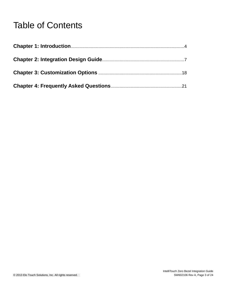# Table of Contents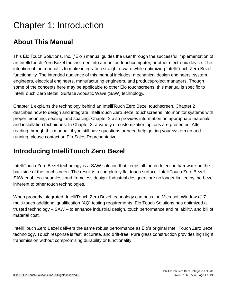# Chapter 1: Introduction

## **About This Manual**

This Elo Touch Solutions, Inc. ("Elo") manual guides the user through the successful implementation of an IntelliTouch Zero Bezel touchscreen into a monitor, touchcomputer, or other electronic device. The intention of the manual is to make integration straightforward while optimizing IntelliTouch Zero Bezel functionality. The intended audience of this manual includes: mechanical design engineers, system engineers, electrical engineers, manufacturing engineers, and product/project managers. Though some of the concepts here may be applicable to other Elo touchscreens, this manual is specific to IntelliTouch Zero Bezel, Surface Acoustic Wave (SAW) technology.

Chapter 1 explains the technology behind an IntelliTouch Zero Bezel touchscreen. Chapter 2 describes how to design and integrate IntelliTouch Zero Bezel touchscreens into monitor systems with proper mounting, sealing, and spacing. Chapter 2 also provides information on appropriate materials and installation techniques. In Chapter 3, a variety of customization options are presented. After reading through this manual, if you still have questions or need help getting your system up and running, please contact an Elo Sales Representative.

### **Introducing IntelliTouch Zero Bezel**

IntelliTouch Zero Bezel technology is a SAW solution that keeps all touch detection hardware on the backside of the touchscreen. The result is a completely flat touch surface. IntelliTouch Zero Bezel SAW enables a seamless and frameless design. Industrial designers are no longer limited by the bezel inherent to other touch technologies.

When properly integrated, IntelliTouch Zero Bezel technology can pass the Microsoft Windows® 7 multi-touch additional qualification (AQ) testing requirements. Elo Touch Solutions has optimized a trusted technology – SAW – to enhance industrial design, touch performance and reliability, and bill of material cost.

IntelliTouch Zero Bezel delivers the same robust performance as Elo's original IntelliTouch Zero Bezel technology. Touch response is fast, accurate, and drift-free. Pure glass construction provides high light transmission without compromising durability or functionality.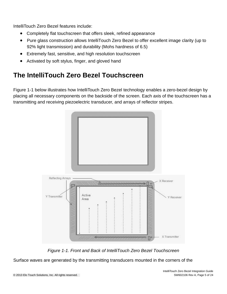IntelliTouch Zero Bezel features include:

- Completely flat touchscreen that offers sleek, refined appearance
- Pure glass construction allows IntelliTouch Zero Bezel to offer excellent image clarity (up to 92% light transmission) and durability (Mohs hardness of 6.5)
- Extremely fast, sensitive, and high resolution touchscreen
- Activated by soft stylus, finger, and gloved hand

# **The IntelliTouch Zero Bezel Touchscreen**

Figure 1-1 below illustrates how IntelliTouch Zero Bezel technology enables a zero-bezel design by placing all necessary components on the backside of the screen. Each axis of the touchscreen has a transmitting and receiving piezoelectric transducer, and arrays of reflector stripes.



*Figure 1-1. Front and Back of IntelliTouch Zero Bezel Touchscreen*

Surface waves are generated by the transmitting transducers mounted in the corners of the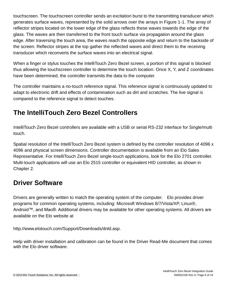touchscreen. The touchscreen controller sends an excitation burst to the transmitting transducer which generates surface waves, represented by the solid arrows over the arrays in Figure 1-1. The array of reflector stripes located on the lower edge of the glass reflects these waves towards the edge of the glass. The waves are then transferred to the front touch surface via propagation around the glass edge. After traversing the touch area, the waves reach the opposite edge and return to the backside of the screen. Reflector stripes at the top gather the reflected waves and direct them to the receiving transducer which reconverts the surface waves into an electrical signal.

When a finger or stylus touches the IntelliTouch Zero Bezel screen, a portion of this signal is blocked thus allowing the touchscreen controller to determine the touch location. Once X, Y, and Z coordinates have been determined, the controller transmits the data to the computer.

The controller maintains a no-touch reference signal. This reference signal is continuously updated to adapt to electronic drift and effects of contamination such as dirt and scratches. The live signal is compared to the reference signal to detect touches.

## **The IntelliTouch Zero Bezel Controllers**

IntelliTouch Zero Bezel controllers are available with a USB or serial RS-232 interface for Single/multi touch.

Spatial resolution of the IntelliTouch Zero Bezel system is defined by the controller resolution of 4096 x 4096 and physical screen dimensions. Controller documentation is available from an Elo Sales Representative. For IntelliTouch Zero Bezel single-touch applications, look for the Elo 2701 controller. Multi-touch applications will use an Elo 2515 controller or equivalent HID controller, as shown in Chapter 2.

# **Driver Software**

Drivers are generally written to match the operating system of the computer. Elo provides driver programs for common operating systems, including: Microsoft Windows 8/7/Vista/XP, Linux®, Android™, and Mac®. Additional drivers may be available for other operating systems. All drivers are available on the Elo website at

http://www.elotouch.com/Support/Downloads/dnld.asp.

Help with driver installation and calibration can be found in the Driver Read-Me document that comes with the Elo driver software.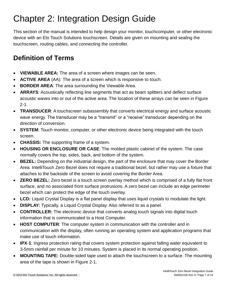# Chapter 2: Integration Design Guide

This section of the manual is intended to help design your monitor, touchcomputer, or other electronic device with an Elo Touch Solutions touchscreen. Details are given on mounting and sealing the touchscreen, routing cables, and connecting the controller.

# **Definition of Terms**

- **VIEWABLE AREA:** The area of a screen where images can be seen.
- **ACTIVE AREA** (AA): The area of a screen which is responsive to touch.
- **BORDER AREA**: The area surrounding the Viewable Area.
- **ARRAYS**: Acoustically reflecting line segments that act as beam splitters and deflect surface acoustic waves into or out of the active area. The location of these arrays can be seen in Figure  $2 - 1$ .
- **TRANSDUCER**: A touchscreen subassembly that converts electrical energy and surface acoustic wave energy. The transducer may be a "transmit" or a "receive" transducer depending on the direction of conversion.
- **SYSTEM**: Touch monitor, computer, or other electronic device being integrated with the touch screen.
- **CHASSIS:** The supporting frame of a system.
- **HOUSING OR ENCLOSURE OR CASE**: The molded plastic cabinet of the system. The case normally covers the top, sides, back, and bottom of the system.
- **BEZEL:** Depending on the industrial design, the part of the enclosure that may cover the Border Area. IntelliTouch Zero Bezel does not require a traditional bezel, but rather may use a fixture that attaches to the backside of the screen to avoid covering the Border Area.
- **ZERO BEZEL:** Zero bezel is a touch screen overlay method which is comprised of a fully flat front surface, and no associated front surface protrusions. A zero bezel can include an edge perimeter bezel which can protect the edge of the touch overlay.
- **LCD:** Liquid Crystal Display is a flat panel display that uses liquid crystals to modulate the light.
- **DISPLAY:** Typically, a Liquid Crystal Display. Also referred to as a panel.
- **CONTROLLER:** The electronic device that converts analog touch signals into digital touch information that is communicated to a Host Computer.
- **HOST COMPUTER**: The computer system in communication with the controller and in communication with the display, often running an operating system and application programs that make use of touch information.
- **IPX**-**1**: Ingress protection rating that covers system protection against falling water equivalent to 3-5mm rainfall per minute for 10 minutes. System is placed in its normal operating position.
- **MOUNTING TAPE:** Double-sided tape used to attach the touchscreen to a surface. The mounting area of the tape is shown in Figure 2-1.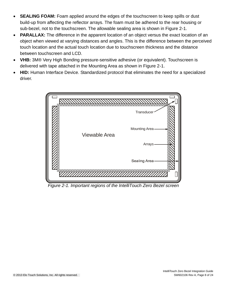- **SEALING FOAM:** Foam applied around the edges of the touchscreen to keep spills or dust build-up from affecting the reflector arrays. The foam must be adhered to the rear housing or sub-bezel, not to the touchscreen. The allowable sealing area is shown in Figure 2-1.
- **PARALLAX:** The difference in the apparent location of an object versus the exact location of an object when viewed at varying distances and angles. This is the difference between the perceived touch location and the actual touch location due to touchscreen thickness and the distance between touchscreen and LCD.
- **VHB:** 3M® Very High Bonding pressure-sensitive adhesive (or equivalent). Touchscreen is delivered with tape attached in the Mounting Area as shown in Figure 2-1.
- **HID:** Human Interface Device. Standardized protocol that eliminates the need for a specialized driver.



*Figure 2-1. Important regions of the IntelliTouch Zero Bezel screen*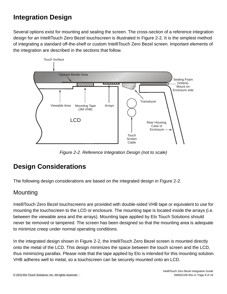# **Integration Design**

Several options exist for mounting and sealing the screen. The cross-section of a reference integration design for an IntelliTouch Zero Bezel touchscreen is illustrated in Figure 2-2. It is the simplest method of integrating a standard off-the-shelf or custom IntelliTouch Zero Bezel screen. Important elements of the integration are described in the sections that follow.



*Figure 2-2. Reference Integration Design (not to scale)*

### **Design Considerations**

The following design considerations are based on the integrated design in Figure 2-2.

### **Mounting**

IntelliTouch Zero Bezel touchscreens are provided with double-sided VHB tape or equivalent to use for mounting the touchscreen to the LCD or enclosure. The mounting tape is located inside the arrays (i.e. between the viewable area and the arrays). Mounting tape applied by Elo Touch Solutions should never be removed or tampered. The screen has been designed so that the mounting area is adequate to minimize creep under normal operating conditions.

In the integrated design shown in Figure 2-2, the IntelliTouch Zero Bezel screen is mounted directly onto the metal of the LCD. This design minimizes the space between the touch screen and the LCD, thus minimizing parallax. Please note that the tape applied by Elo is intended for this mounting solution. VHB adheres well to metal, so a touchscreen can be securely mounted onto an LCD.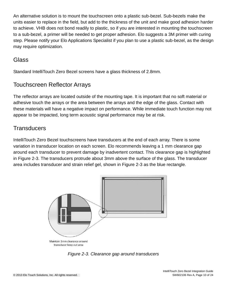An alternative solution is to mount the touchscreen onto a plastic sub-bezel. Sub-bezels make the units easier to replace in the field, but add to the thickness of the unit and make good adhesion harder to achieve. VHB does not bond readily to plastic, so if you are interested in mounting the touchscreen to a sub-bezel, a primer will be needed to get proper adhesion. Elo suggests a 3M primer with curing step. Please notify your Elo Applications Specialist if you plan to use a plastic sub-bezel, as the design may require optimization.

### Glass

Standard IntelliTouch Zero Bezel screens have a glass thickness of 2.8mm.

### Touchscreen Reflector Arrays

The reflector arrays are located outside of the mounting tape. It is important that no soft material or adhesive touch the arrays or the area between the arrays and the edge of the glass. Contact with these materials will have a negative impact on performance. While immediate touch function may not appear to be impacted, long term acoustic signal performance may be at risk.

### **Transducers**

IntelliTouch Zero Bezel touchscreens have transducers at the end of each array. There is some variation in transducer location on each screen. Elo recommends leaving a 1 mm clearance gap around each transducer to prevent damage by inadvertent contact. This clearance gap is highlighted in Figure 2-3. The transducers protrude about 3mm above the surface of the glass. The transducer area includes transducer and strain relief gel, shown in Figure 2-3 as the blue rectangle.



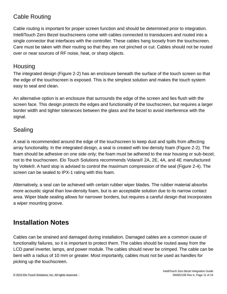### Cable Routing

Cable routing is important for proper screen function and should be determined prior to integration. IntelliTouch Zero Bezel touchscreens come with cables connected to transducers and routed into a single connector that interfaces with the controller. These cables hang loosely from the touchscreen. Care must be taken with their routing so that they are not pinched or cut. Cables should not be routed over or near sources of RF noise, heat, or sharp objects.

### **Housing**

The integrated design (Figure 2-2) has an enclosure beneath the surface of the touch screen so that the edge of the touchscreen is exposed. This is the simplest solution and makes the touch system easy to seal and clean.

An alternative option is an enclosure that surrounds the edge of the screen and lies flush with the screen face. This design protects the edges and functionality of the touchscreen, but requires a larger border width and tighter tolerances between the glass and the bezel to avoid interference with the signal.

### Sealing

A seal is recommended around the edge of the touchscreen to keep dust and spills from affecting array functionality. In the integrated design, a seal is created with low density foam (Figure 2-2). The foam should be adhesive on one side only; the foam must be adhered to the rear housing or sub-bezel, not to the touchscreen. Elo Touch Solutions recommends Volara® 2A, 2E, 4A, and 4E manufactured by Voltek®. A hard stop is advised to control the maximum compression of the seal (Figure 2-4). The screen can be sealed to IPX-1 rating with this foam.

Alternatively, a seal can be achieved with certain rubber wiper blades. The rubber material absorbs more acoustic signal than low-density foam, but is an acceptable solution due to its narrow contact area. Wiper blade sealing allows for narrower borders, but requires a careful design that incorporates a wiper mounting groove.

### **Installation Notes**

Cables can be strained and damaged during installation. Damaged cables are a common cause of functionality failures, so it is important to protect them. The cables should be routed away from the LCD panel inverter, lamps, and power module. The cables should never be crimped. The cable can be bent with a radius of 10 mm or greater. Most importantly, cables must not be used as handles for picking up the touchscreen.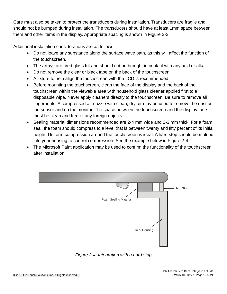Care must also be taken to protect the transducers during installation. Transducers are fragile and should not be bumped during installation. The transducers should have at least 1mm space between them and other items in the display. Appropriate spacing is shown in Figure 2-3.

Additional installation considerations are as follows:

- Do not leave any substance along the surface wave path, as this will affect the function of the touchscreen.
- The arrays are fired glass frit and should not be brought in contact with any acid or alkali.
- Do not remove the clear or black tape on the back of the touchscreen
- A fixture to help align the touchscreen with the LCD is recommended.
- Before mounting the touchscreen, clean the face of the display and the back of the touchscreen within the viewable area with household glass cleaner applied first to a disposable wipe. Never apply cleaners directly to the touchscreen. Be sure to remove all fingerprints. A compressed air nozzle with clean, dry air may be used to remove the dust on the sensor and on the monitor. The space between the touchscreen and the display face must be clean and free of any foreign objects.
- Sealing material dimensions recommended are 2-4 mm wide and 2-3 mm thick. For a foam seal, the foam should compress to a level that is between twenty and fifty percent of its initial height. Uniform compression around the touchscreen is ideal. A hard stop should be molded into your housing to control compression. See the example below in Figure 2-4.
- The Microsoft Paint application may be used to confirm the functionality of the touchscreen after installation.



*Figure 2-4. Integration with a hard stop*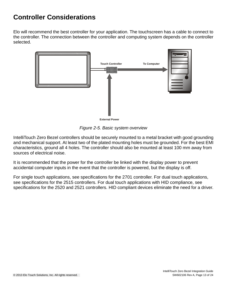### **Controller Considerations**

Elo will recommend the best controller for your application. The touchscreen has a cable to connect to the controller. The connection between the controller and computing system depends on the controller selected.



*Figure 2-5. Basic system overview*

IntelliTouch Zero Bezel controllers should be securely mounted to a metal bracket with good grounding and mechanical support. At least two of the plated mounting holes must be grounded. For the best EMI characteristics, ground all 4 holes. The controller should also be mounted at least 100 mm away from sources of electrical noise.

It is recommended that the power for the controller be linked with the display power to prevent accidental computer inputs in the event that the controller is powered, but the display is off.

For single touch applications, see specifications for the 2701 controller. For dual touch applications, see specifications for the 2515 controllers. For dual touch applications with HID compliance, see specifications for the 2520 and 2521 controllers. HID compliant devices eliminate the need for a driver.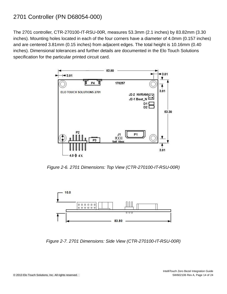### 2701 Controller (PN D68054-000)

The 2701 controller, CTR-270100-IT-RSU-00R, measures 53.3mm (2.1 inches) by 83.82mm (3.30 inches). Mounting holes located in each of the four corners have a diameter of 4.0mm (0.157 inches) and are centered 3.81mm (0.15 inches) from adjacent edges. The total height is 10.16mm (0.40 inches). Dimensional tolerances and further details are documented in the Elo Touch Solutions specification for the particular printed circuit card.



*Figure 2-6. 2701 Dimensions: Top View (CTR-270100-IT-RSU-00R)*



*Figure 2-7. 2701 Dimensions: Side View (CTR-270100-IT-RSU-00R)*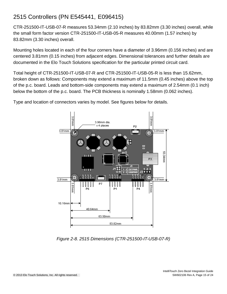### 2515 Controllers (PN E545441, E096415)

CTR-251500-IT-USB-07-R measures 53.34mm (2.10 inches) by 83.82mm (3.30 inches) overall, while the small form factor version CTR-251500-IT-USB-05-R measures 40.00mm (1.57 inches) by 83.82mm (3.30 inches) overall.

Mounting holes located in each of the four corners have a diameter of 3.96mm (0.156 inches) and are centered 3.81mm (0.15 inches) from adjacent edges. Dimensional tolerances and further details are documented in the Elo Touch Solutions specification for the particular printed circuit card.

Total height of CTR-251500-IT-USB-07-R and CTR-251500-IT-USB-05-R is less than 15.62mm, broken down as follows: Components may extend a maximum of 11.5mm (0.45 inches) above the top of the p.c. board. Leads and bottom-side components may extend a maximum of 2.54mm (0.1 inch) below the bottom of the p.c. board. The PCB thickness is nominally 1.58mm (0.062 inches).

Type and location of connectors varies by model. See figures below for details.



*Figure 2-8. 2515 Dimensions (CTR-251500-IT-USB-07-R)*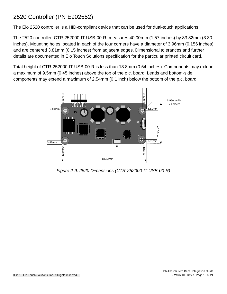### 2520 Controller (PN E902552)

The Elo 2520 controller is a HID-compliant device that can be used for dual-touch applications.

The 2520 controller, CTR-252000-IT-USB-00-R, measures 40.00mm (1.57 inches) by 83.82mm (3.30 inches). Mounting holes located in each of the four corners have a diameter of 3.96mm (0.156 inches) and are centered 3.81mm (0.15 inches) from adjacent edges. Dimensional tolerances and further details are documented in Elo Touch Solutions specification for the particular printed circuit card.

Total height of CTR-252000-IT-USB-00-R is less than 13.8mm (0.54 inches). Components may extend a maximum of 9.5mm (0.45 inches) above the top of the p.c. board. Leads and bottom-side components may extend a maximum of 2.54mm (0.1 inch) below the bottom of the p.c. board.



*Figure 2-9. 2520 Dimensions (CTR-252000-IT-USB-00-R)*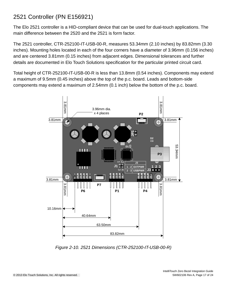### 2521 Controller (PN E156921)

The Elo 2521 controller is a HID-compliant device that can be used for dual-touch applications. The main difference between the 2520 and the 2521 is form factor.

The 2521 controller, CTR-252100-IT-USB-00-R, measures 53.34mm (2.10 inches) by 83.82mm (3.30 inches). Mounting holes located in each of the four corners have a diameter of 3.96mm (0.156 inches) and are centered 3.81mm (0.15 inches) from adjacent edges. Dimensional tolerances and further details are documented in Elo Touch Solutions specification for the particular printed circuit card.

Total height of CTR-252100-IT-USB-00-R is less than 13.8mm (0.54 inches). Components may extend a maximum of 9.5mm (0.45 inches) above the top of the p.c. board. Leads and bottom-side components may extend a maximum of 2.54mm (0.1 inch) below the bottom of the p.c. board.



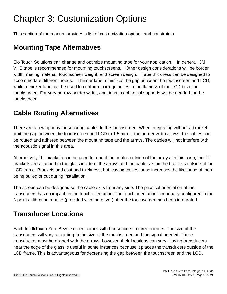# Chapter 3: Customization Options

This section of the manual provides a list of customization options and constraints.

### **Mounting Tape Alternatives**

Elo Touch Solutions can change and optimize mounting tape for your application. In general, 3M VHB tape is recommended for mounting touchscreens. Other design considerations will be border width, mating material, touchscreen weight, and screen design. Tape thickness can be designed to accommodate different needs. Thinner tape minimizes the gap between the touchscreen and LCD, while a thicker tape can be used to conform to irregularities in the flatness of the LCD bezel or touchscreen. For very narrow border width, additional mechanical supports will be needed for the touchscreen.

### **Cable Routing Alternatives**

There are a few options for securing cables to the touchscreen. When integrating without a bracket, limit the gap between the touchscreen and LCD to 1.5 mm. If the border width allows, the cables can be routed and adhered between the mounting tape and the arrays. The cables will not interfere with the acoustic signal in this area.

Alternatively, "L" brackets can be used to mount the cables outside of the arrays. In this case, the "L" brackets are attached to the glass inside of the arrays and the cable sits on the brackets outside of the LCD frame. Brackets add cost and thickness, but leaving cables loose increases the likelihood of them being pulled or cut during installation.

The screen can be designed so the cable exits from any side. The physical orientation of the transducers has no impact on the touch orientation. The touch orientation is manually configured in the 3-point calibration routine (provided with the driver) after the touchscreen has been integrated.

## **Transducer Locations**

Each IntelliTouch Zero Bezel screen comes with transducers in three corners. The size of the transducers will vary according to the size of the touchscreen and the signal needed. These transducers must be aligned with the arrays; however, their locations can vary. Having transducers near the edge of the glass is useful in some instances because it places the transducers outside of the LCD frame. This is advantageous for decreasing the gap between the touchscreen and the LCD.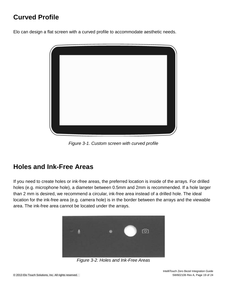# **Curved Profile**

Elo can design a flat screen with a curved profile to accommodate aesthetic needs.



*Figure 3-1. Custom screen with curved profile*

### **Holes and Ink-Free Areas**

If you need to create holes or ink-free areas, the preferred location is inside of the arrays. For drilled holes (e.g. microphone hole), a diameter between 0.5mm and 2mm is recommended. If a hole larger than 2 mm is desired, we recommend a circular, ink-free area instead of a drilled hole. The ideal location for the ink-free area (e.g. camera hole) is in the border between the arrays and the viewable area. The ink-free area cannot be located under the arrays.



*Figure 3-2. Holes and Ink-Free Areas*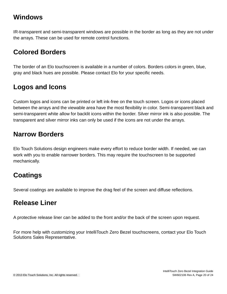### **Windows**

IR-transparent and semi-transparent windows are possible in the border as long as they are not under the arrays. These can be used for remote control functions.

## **Colored Borders**

The border of an Elo touchscreen is available in a number of colors. Borders colors in green, blue, gray and black hues are possible. Please contact Elo for your specific needs.

## **Logos and Icons**

Custom logos and icons can be printed or left ink-free on the touch screen. Logos or icons placed between the arrays and the viewable area have the most flexibility in color. Semi-transparent black and semi-transparent white allow for backlit icons within the border. Silver mirror ink is also possible. The transparent and silver mirror inks can only be used if the icons are not under the arrays.

### **Narrow Borders**

Elo Touch Solutions design engineers make every effort to reduce border width. If needed, we can work with you to enable narrower borders. This may require the touchscreen to be supported mechanically.

# **Coatings**

Several coatings are available to improve the drag feel of the screen and diffuse reflections.

## **Release Liner**

A protective release liner can be added to the front and/or the back of the screen upon request.

For more help with customizing your IntelliTouch Zero Bezel touchscreens, contact your Elo Touch Solutions Sales Representative.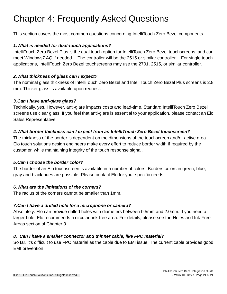# Chapter 4: Frequently Asked Questions

This section covers the most common questions concerning IntelliTouch Zero Bezel components.

#### *1.What is needed for dual-touch applications?*

IntelliTouch Zero Bezel Plus is the dual touch option for IntelliTouch Zero Bezel touchscreens, and can meet Windows7 AQ if needed. The controller will be the 2515 or similar controller. For single touch applications, IntelliTouch Zero Bezel touchscreens may use the 2701, 2515, or similar controller.

#### *2.What thickness of glass can I expect?*

The nominal glass thickness of IntelliTouch Zero Bezel and IntelliTouch Zero Bezel Plus screens is 2.8 mm. Thicker glass is available upon request.

#### *3.Can I have anti-glare glass?*

Technically, yes. However, anti-glare impacts costs and lead-time. Standard IntelliTouch Zero Bezel screens use clear glass. If you feel that anti-glare is essential to your application, please contact an Elo Sales Representative.

#### *4.What border thickness can I expect from an IntelliTouch Zero Bezel touchscreen?*

The thickness of the border is dependent on the dimensions of the touchscreen and/or active area. Elo touch solutions design engineers make every effort to reduce border width if required by the customer, while maintaining integrity of the touch response signal.

#### *5.Can I choose the border color?*

The border of an Elo touchscreen is available in a number of colors. Borders colors in green, blue, gray and black hues are possible. Please contact Elo for your specific needs.

#### *6.What are the limitations of the corners?*

The radius of the corners cannot be smaller than 1mm.

#### *7.Can I have a drilled hole for a microphone or camera?*

Absolutely. Elo can provide drilled holes with diameters between 0.5mm and 2.0mm. If you need a larger hole, Elo recommends a circular, ink-free area. For details, please see the Holes and Ink-Free Areas section of Chapter 3.

#### *8. Can I have a smaller connector and thinner cable, like FPC material?*

So far, it's difficult to use FPC material as the cable due to EMI issue. The current cable provides good EMI prevention.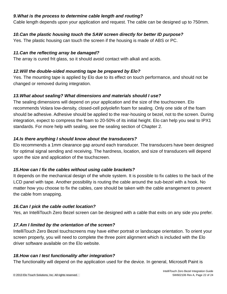#### *9.What is the process to determine cable length and routing?*

Cable length depends upon your application and request. The cable can be designed up to 750mm.

#### *10.Can the plastic housing touch the SAW screen directly for better ID purpose?*

Yes. The plastic housing can touch the screen if the housing is made of ABS or PC.

#### *11.Can the reflecting array be damaged?*

The array is cured frit glass, so it should avoid contact with alkali and acids.

#### *12.Will the double-sided mounting tape be prepared by Elo?*

Yes. The mounting tape is applied by Elo due to its effect on touch performance, and should not be changed or removed during integration.

#### *13.What about sealing? What dimensions and materials should I use?*

The sealing dimensions will depend on your application and the size of the touchscreen. Elo recommends Volara low-density, closed-cell polyolefin foam for sealing. Only one side of the foam should be adhesive. Adhesive should be applied to the rear-housing or bezel, not to the screen. During integration, expect to compress the foam to 20-50% of its initial height. Elo can help you seal to IPX1 standards. For more help with sealing, see the sealing section of Chapter 2.

#### *14.Is there anything I should know about the transducers?*

Elo recommends a 1mm clearance gap around each transducer. The transducers have been designed for optimal signal sending and receiving. The hardness, location, and size of transducers will depend upon the size and application of the touchscreen.

#### *15.How can I fix the cables without using cable brackets?*

It depends on the mechanical design of the whole system. It is possible to fix cables to the back of the LCD panel with tape. Another possibility is routing the cable around the sub-bezel with a hook. No matter how you choose to fix the cables, care should be taken with the cable arrangement to prevent the cable from snapping.

#### *16.Can I pick the cable outlet location?*

Yes, an IntelliTouch Zero Bezel screen can be designed with a cable that exits on any side you prefer.

#### *17.Am I limited by the orientation of the screen?*

IntelliTouch Zero Bezel touchscreens may have either portrait or landscape orientation. To orient your screen properly, you will need to complete the three point alignment which is included with the Elo driver software available on the Elo website.

#### *18.How can I test functionality after integration?*

The functionality will depend on the application used for the device. In general, Microsoft Paint is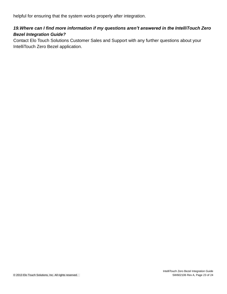helpful for ensuring that the system works properly after integration.

#### *19.Where can I find more information if my questions aren't answered in the IntelliTouch Zero Bezel Integration Guide?*

Contact Elo Touch Solutions Customer Sales and Support with any further questions about your IntelliTouch Zero Bezel application.